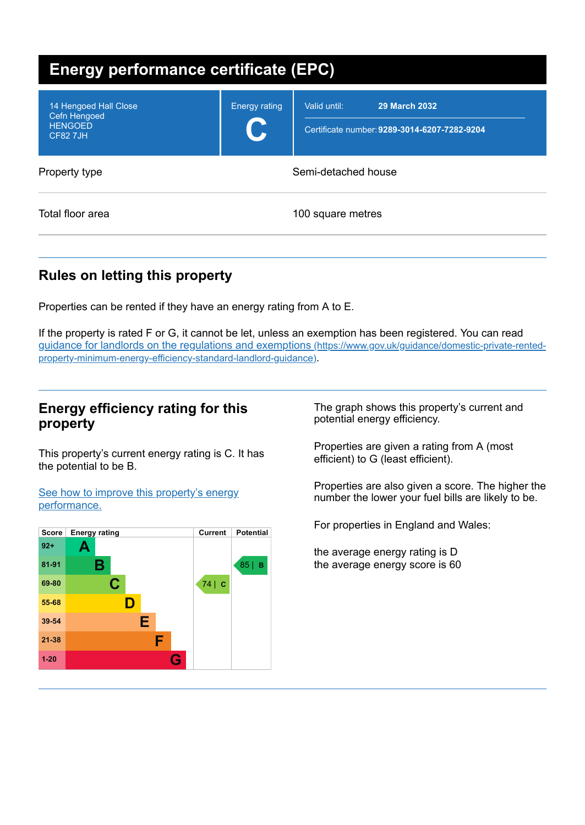| <b>Energy performance certificate (EPC)</b>                                |                      |                                                                                      |  |
|----------------------------------------------------------------------------|----------------------|--------------------------------------------------------------------------------------|--|
| 14 Hengoed Hall Close<br>Cefn Hengoed<br><b>HENGOED</b><br><b>CF82 7JH</b> | <b>Energy rating</b> | Valid until:<br><b>29 March 2032</b><br>Certificate number: 9289-3014-6207-7282-9204 |  |
| Property type                                                              | Semi-detached house  |                                                                                      |  |
| Total floor area                                                           |                      | 100 square metres                                                                    |  |

# **Rules on letting this property**

Properties can be rented if they have an energy rating from A to E.

If the property is rated F or G, it cannot be let, unless an exemption has been registered. You can read guidance for landlords on the regulations and exemptions (https://www.gov.uk/guidance/domestic-private-rented[property-minimum-energy-efficiency-standard-landlord-guidance\)](https://www.gov.uk/guidance/domestic-private-rented-property-minimum-energy-efficiency-standard-landlord-guidance).

#### **Energy efficiency rating for this property**

This property's current energy rating is C. It has the potential to be B.

See how to improve this property's energy [performance.](#page-2-0)



The graph shows this property's current and potential energy efficiency.

Properties are given a rating from A (most efficient) to G (least efficient).

Properties are also given a score. The higher the number the lower your fuel bills are likely to be.

For properties in England and Wales:

the average energy rating is D the average energy score is 60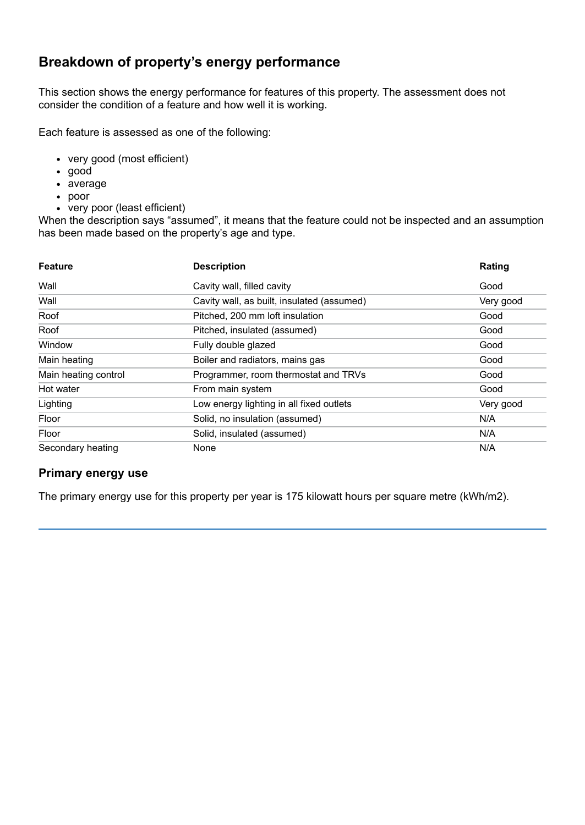## **Breakdown of property's energy performance**

This section shows the energy performance for features of this property. The assessment does not consider the condition of a feature and how well it is working.

Each feature is assessed as one of the following:

- very good (most efficient)
- good
- average
- poor
- very poor (least efficient)

When the description says "assumed", it means that the feature could not be inspected and an assumption has been made based on the property's age and type.

| <b>Feature</b>       | <b>Description</b>                         | Rating    |
|----------------------|--------------------------------------------|-----------|
| Wall                 | Cavity wall, filled cavity                 | Good      |
| Wall                 | Cavity wall, as built, insulated (assumed) | Very good |
| Roof                 | Pitched, 200 mm loft insulation            | Good      |
| Roof                 | Pitched, insulated (assumed)               | Good      |
| Window               | Fully double glazed                        | Good      |
| Main heating         | Boiler and radiators, mains gas            | Good      |
| Main heating control | Programmer, room thermostat and TRVs       | Good      |
| Hot water            | From main system                           | Good      |
| Lighting             | Low energy lighting in all fixed outlets   | Very good |
| Floor                | Solid, no insulation (assumed)             | N/A       |
| Floor                | Solid, insulated (assumed)                 | N/A       |
| Secondary heating    | None                                       | N/A       |

#### **Primary energy use**

The primary energy use for this property per year is 175 kilowatt hours per square metre (kWh/m2).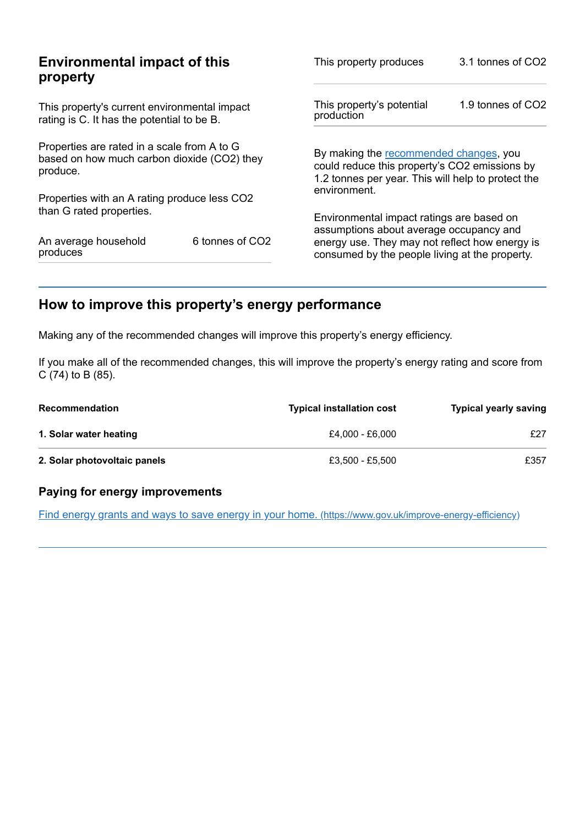| This property produces                      | 3.1 tonnes of CO2                                                                                                                             |  |
|---------------------------------------------|-----------------------------------------------------------------------------------------------------------------------------------------------|--|
| This property's potential<br>production     | 1.9 tonnes of CO2                                                                                                                             |  |
|                                             | By making the recommended changes, you<br>could reduce this property's CO2 emissions by<br>1.2 tonnes per year. This will help to protect the |  |
|                                             |                                                                                                                                               |  |
| Environmental impact ratings are based on   |                                                                                                                                               |  |
|                                             | energy use. They may not reflect how energy is<br>consumed by the people living at the property.                                              |  |
| based on how much carbon dioxide (CO2) they | environment.<br>assumptions about average occupancy and<br>6 tonnes of CO2                                                                    |  |

# <span id="page-2-0"></span>**How to improve this property's energy performance**

Making any of the recommended changes will improve this property's energy efficiency.

If you make all of the recommended changes, this will improve the property's energy rating and score from C (74) to B (85).

| <b>Recommendation</b>        | <b>Typical installation cost</b> | <b>Typical yearly saving</b> |
|------------------------------|----------------------------------|------------------------------|
| 1. Solar water heating       | £4.000 - £6.000                  | £27                          |
| 2. Solar photovoltaic panels | £3,500 - £5,500                  | £357                         |

#### **Paying for energy improvements**

Find energy grants and ways to save energy in your home. [\(https://www.gov.uk/improve-energy-efficiency\)](https://www.gov.uk/improve-energy-efficiency)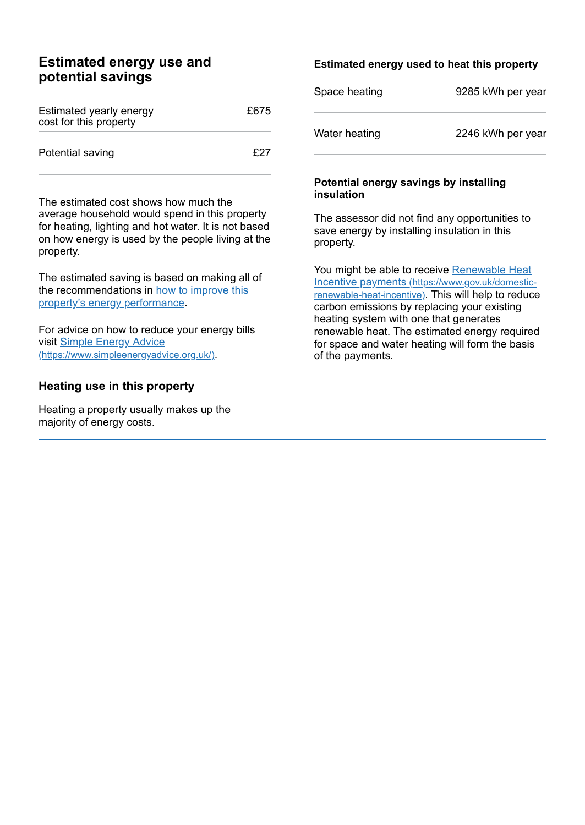#### **Estimated energy use and potential savings**

| Estimated yearly energy<br>cost for this property | £675 |
|---------------------------------------------------|------|
| Potential saving                                  | f27  |

The estimated cost shows how much the average household would spend in this property for heating, lighting and hot water. It is not based on how energy is used by the people living at the property.

The estimated saving is based on making all of the [recommendations](#page-2-0) in how to improve this property's energy performance.

For advice on how to reduce your energy bills visit Simple Energy Advice [\(https://www.simpleenergyadvice.org.uk/\)](https://www.simpleenergyadvice.org.uk/).

#### **Heating use in this property**

Heating a property usually makes up the majority of energy costs.

#### **Estimated energy used to heat this property**

| Space heating | 9285 kWh per year |
|---------------|-------------------|
| Water heating | 2246 kWh per year |

#### **Potential energy savings by installing insulation**

The assessor did not find any opportunities to save energy by installing insulation in this property.

You might be able to receive Renewable Heat Incentive payments [\(https://www.gov.uk/domestic](https://www.gov.uk/domestic-renewable-heat-incentive)renewable-heat-incentive). This will help to reduce carbon emissions by replacing your existing heating system with one that generates renewable heat. The estimated energy required for space and water heating will form the basis of the payments.